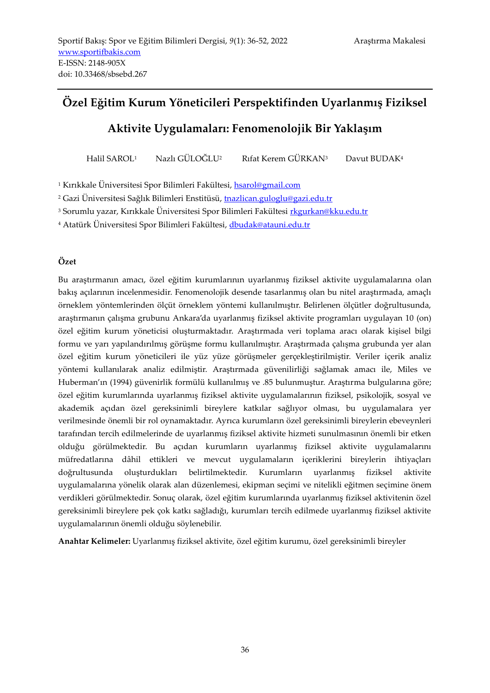## **Özel Eğitim Kurum Yöneticileri Perspektifinden Uyarlanmış Fiziksel**

### **Aktivite Uygulamaları: Fenomenolojik Bir Yaklaşım**

Halil SAROL<sup>1</sup> Nazlı GÜLOĞLU<sup>2</sup> Rıfat Kerem GÜRKAN<sup>3</sup> Davut BUDAK<sup>4</sup>

<sup>1</sup> Kırıkkale Üniversitesi Spor Bilimleri Fakültesi[, hsarol@gmail.com](mailto:hsarol@gmail.com)

<sup>2</sup> Gazi Üniversitesi Sağlık Bilimleri Enstitüsü, [tnazlican.guloglu@gazi.edu.tr](mailto:tnazlican.guloglu@gazi.edu.tr)

<sup>3</sup> Sorumlu yazar, Kırıkkale Üniversitesi Spor Bilimleri Fakültesi *[rkgurkan@kku.edu.tr](../Downloads/rkgurkan@kku.edu.tr)* 

<sup>4</sup> Atatürk Üniversitesi Spor Bilimleri Fakültesi, [dbudak@atauni.edu.tr](mailto:dbudak@atauni.edu.tr)

#### **Özet**

Bu araştırmanın amacı, özel eğitim kurumlarının uyarlanmış fiziksel aktivite uygulamalarına olan bakış açılarının incelenmesidir. Fenomenolojik desende tasarlanmış olan bu nitel araştırmada, amaçlı örneklem yöntemlerinden ölçüt örneklem yöntemi kullanılmıştır. Belirlenen ölçütler doğrultusunda, araştırmanın çalışma grubunu Ankara'da uyarlanmış fiziksel aktivite programları uygulayan 10 (on) özel eğitim kurum yöneticisi oluşturmaktadır. Araştırmada veri toplama aracı olarak kişisel bilgi formu ve yarı yapılandırılmış görüşme formu kullanılmıştır. Araştırmada çalışma grubunda yer alan özel eğitim kurum yöneticileri ile yüz yüze görüşmeler gerçekleştirilmiştir. Veriler içerik analiz yöntemi kullanılarak analiz edilmiştir. Araştırmada güvenilirliği sağlamak amacı ile, Miles ve Huberman'ın (1994) güvenirlik formülü kullanılmış ve .85 bulunmuştur. Araştırma bulgularına göre; özel eğitim kurumlarında uyarlanmış fiziksel aktivite uygulamalarının fiziksel, psikolojik, sosyal ve akademik açıdan özel gereksinimli bireylere katkılar sağlıyor olması, bu uygulamalara yer verilmesinde önemli bir rol oynamaktadır. Ayrıca kurumların özel gereksinimli bireylerin ebeveynleri tarafından tercih edilmelerinde de uyarlanmış fiziksel aktivite hizmeti sunulmasının önemli bir etken olduğu görülmektedir. Bu açıdan kurumların uyarlanmış fiziksel aktivite uygulamalarını müfredatlarına dâhil ettikleri ve mevcut uygulamaların içeriklerini bireylerin ihtiyaçları doğrultusunda oluşturdukları belirtilmektedir. Kurumların uyarlanmış fiziksel aktivite uygulamalarına yönelik olarak alan düzenlemesi, ekipman seçimi ve nitelikli eğitmen seçimine önem verdikleri görülmektedir. Sonuç olarak, özel eğitim kurumlarında uyarlanmış fiziksel aktivitenin özel gereksinimli bireylere pek çok katkı sağladığı, kurumları tercih edilmede uyarlanmış fiziksel aktivite uygulamalarının önemli olduğu söylenebilir.

**Anahtar Kelimeler:** Uyarlanmış fiziksel aktivite, özel eğitim kurumu, özel gereksinimli bireyler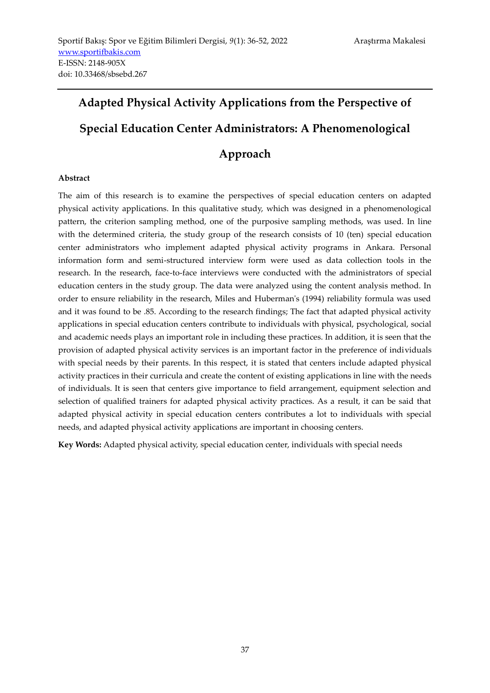# **Adapted Physical Activity Applications from the Perspective of Special Education Center Administrators: A Phenomenological**

## **Approach**

#### **Abstract**

The aim of this research is to examine the perspectives of special education centers on adapted physical activity applications. In this qualitative study, which was designed in a phenomenological pattern, the criterion sampling method, one of the purposive sampling methods, was used. In line with the determined criteria, the study group of the research consists of 10 (ten) special education center administrators who implement adapted physical activity programs in Ankara. Personal information form and semi-structured interview form were used as data collection tools in the research. In the research, face-to-face interviews were conducted with the administrators of special education centers in the study group. The data were analyzed using the content analysis method. In order to ensure reliability in the research, Miles and Huberman's (1994) reliability formula was used and it was found to be .85. According to the research findings; The fact that adapted physical activity applications in special education centers contribute to individuals with physical, psychological, social and academic needs plays an important role in including these practices. In addition, it is seen that the provision of adapted physical activity services is an important factor in the preference of individuals with special needs by their parents. In this respect, it is stated that centers include adapted physical activity practices in their curricula and create the content of existing applications in line with the needs of individuals. It is seen that centers give importance to field arrangement, equipment selection and selection of qualified trainers for adapted physical activity practices. As a result, it can be said that adapted physical activity in special education centers contributes a lot to individuals with special needs, and adapted physical activity applications are important in choosing centers.

**Key Words:** Adapted physical activity, special education center, individuals with special needs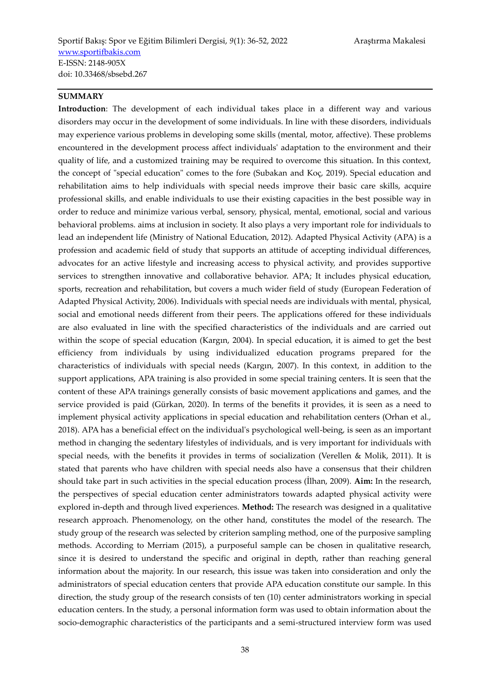#### **SUMMARY**

**Introduction**: The development of each individual takes place in a different way and various disorders may occur in the development of some individuals. In line with these disorders, individuals may experience various problems in developing some skills (mental, motor, affective). These problems encountered in the development process affect individuals' adaptation to the environment and their quality of life, and a customized training may be required to overcome this situation. In this context, the concept of "special education" comes to the fore (Subakan and Koç, 2019). Special education and rehabilitation aims to help individuals with special needs improve their basic care skills, acquire professional skills, and enable individuals to use their existing capacities in the best possible way in order to reduce and minimize various verbal, sensory, physical, mental, emotional, social and various behavioral problems. aims at inclusion in society. It also plays a very important role for individuals to lead an independent life (Ministry of National Education, 2012). Adapted Physical Activity (APA) is a profession and academic field of study that supports an attitude of accepting individual differences, advocates for an active lifestyle and increasing access to physical activity, and provides supportive services to strengthen innovative and collaborative behavior. APA; It includes physical education, sports, recreation and rehabilitation, but covers a much wider field of study (European Federation of Adapted Physical Activity, 2006). Individuals with special needs are individuals with mental, physical, social and emotional needs different from their peers. The applications offered for these individuals are also evaluated in line with the specified characteristics of the individuals and are carried out within the scope of special education (Kargın, 2004). In special education, it is aimed to get the best efficiency from individuals by using individualized education programs prepared for the characteristics of individuals with special needs (Kargın, 2007). In this context, in addition to the support applications, APA training is also provided in some special training centers. It is seen that the content of these APA trainings generally consists of basic movement applications and games, and the service provided is paid (Gürkan, 2020). In terms of the benefits it provides, it is seen as a need to implement physical activity applications in special education and rehabilitation centers (Orhan et al., 2018). APA has a beneficial effect on the individual's psychological well-being, is seen as an important method in changing the sedentary lifestyles of individuals, and is very important for individuals with special needs, with the benefits it provides in terms of socialization (Verellen & Molik, 2011). It is stated that parents who have children with special needs also have a consensus that their children should take part in such activities in the special education process (İlhan, 2009). **Aim:** In the research, the perspectives of special education center administrators towards adapted physical activity were explored in-depth and through lived experiences. **Method:** The research was designed in a qualitative research approach. Phenomenology, on the other hand, constitutes the model of the research. The study group of the research was selected by criterion sampling method, one of the purposive sampling methods. According to Merriam (2015), a purposeful sample can be chosen in qualitative research, since it is desired to understand the specific and original in depth, rather than reaching general information about the majority. In our research, this issue was taken into consideration and only the administrators of special education centers that provide APA education constitute our sample. In this direction, the study group of the research consists of ten (10) center administrators working in special education centers. In the study, a personal information form was used to obtain information about the socio-demographic characteristics of the participants and a semi-structured interview form was used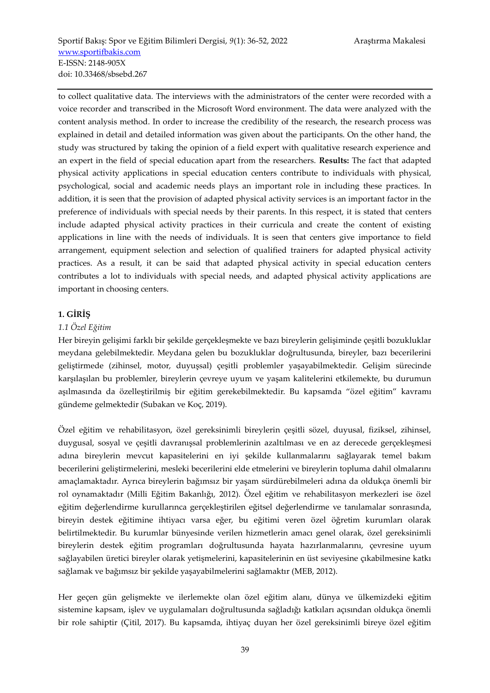to collect qualitative data. The interviews with the administrators of the center were recorded with a voice recorder and transcribed in the Microsoft Word environment. The data were analyzed with the content analysis method. In order to increase the credibility of the research, the research process was explained in detail and detailed information was given about the participants. On the other hand, the study was structured by taking the opinion of a field expert with qualitative research experience and an expert in the field of special education apart from the researchers. **Results:** The fact that adapted physical activity applications in special education centers contribute to individuals with physical, psychological, social and academic needs plays an important role in including these practices. In addition, it is seen that the provision of adapted physical activity services is an important factor in the preference of individuals with special needs by their parents. In this respect, it is stated that centers include adapted physical activity practices in their curricula and create the content of existing applications in line with the needs of individuals. It is seen that centers give importance to field arrangement, equipment selection and selection of qualified trainers for adapted physical activity practices. As a result, it can be said that adapted physical activity in special education centers contributes a lot to individuals with special needs, and adapted physical activity applications are important in choosing centers.

#### **1. GİRİŞ**

#### *1.1 Özel Eğitim*

Her bireyin gelişimi farklı bir şekilde gerçekleşmekte ve bazı bireylerin gelişiminde çeşitli bozukluklar meydana gelebilmektedir. Meydana gelen bu bozukluklar doğrultusunda, bireyler, bazı becerilerini geliştirmede (zihinsel, motor, duyuşsal) çeşitli problemler yaşayabilmektedir. Gelişim sürecinde karşılaşılan bu problemler, bireylerin çevreye uyum ve yaşam kalitelerini etkilemekte, bu durumun aşılmasında da özelleştirilmiş bir eğitim gerekebilmektedir. Bu kapsamda "özel eğitim" kavramı gündeme gelmektedir (Subakan ve Koç, 2019).

Özel eğitim ve rehabilitasyon, özel gereksinimli bireylerin çeşitli sözel, duyusal, fiziksel, zihinsel, duygusal, sosyal ve çeşitli davranışsal problemlerinin azaltılması ve en az derecede gerçekleşmesi adına bireylerin mevcut kapasitelerini en iyi şekilde kullanmalarını sağlayarak temel bakım becerilerini geliştirmelerini, mesleki becerilerini elde etmelerini ve bireylerin topluma dahil olmalarını amaçlamaktadır. Ayrıca bireylerin bağımsız bir yaşam sürdürebilmeleri adına da oldukça önemli bir rol oynamaktadır (Milli Eğitim Bakanlığı, 2012). Özel eğitim ve rehabilitasyon merkezleri ise özel eğitim değerlendirme kurullarınca gerçekleştirilen eğitsel değerlendirme ve tanılamalar sonrasında, bireyin destek eğitimine ihtiyacı varsa eğer, bu eğitimi veren özel öğretim kurumları olarak belirtilmektedir. Bu kurumlar bünyesinde verilen hizmetlerin amacı genel olarak, özel gereksinimli bireylerin destek eğitim programları doğrultusunda hayata hazırlanmalarını, çevresine uyum sağlayabilen üretici bireyler olarak yetişmelerini, kapasitelerinin en üst seviyesine çıkabilmesine katkı sağlamak ve bağımsız bir şekilde yaşayabilmelerini sağlamaktır (MEB, 2012).

Her geçen gün gelişmekte ve ilerlemekte olan özel eğitim alanı, dünya ve ülkemizdeki eğitim sistemine kapsam, işlev ve uygulamaları doğrultusunda sağladığı katkıları açısından oldukça önemli bir role sahiptir (Çitil, 2017). Bu kapsamda, ihtiyaç duyan her özel gereksinimli bireye özel eğitim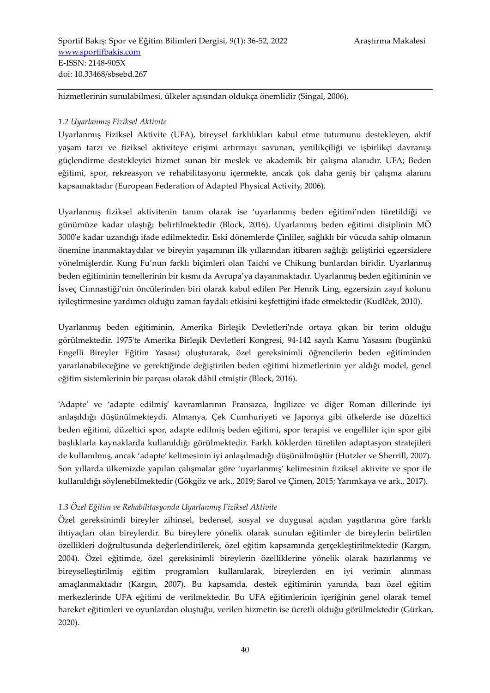hizmetlerinin sunulabilmesi, ülkeler açısından oldukça önemlidir (Singal, 2006).

#### *1.2 Uyarlanmış Fiziksel Aktivite*

Uyarlanmış Fiziksel Aktivite (UFA), bireysel farklılıkları kabul etme tutumunu destekleyen, aktif yaşam tarzı ve fiziksel aktiviteye erişimi artırmayı savunan, yenilikçiliği ve işbirlikçi davranışı güçlendirme destekleyici hizmet sunan bir meslek ve akademik bir çalışma alanıdır. UFA; Beden eğitimi, spor, rekreasyon ve rehabilitasyonu içermekte, ancak çok daha geniş bir çalışma alanını kapsamaktadır (European Federation of Adapted Physical Activity, 2006).

Uyarlanmış fiziksel aktivitenin tanım olarak ise 'uyarlanmış beden eğitimi'nden türetildiği ve günümüze kadar ulaştığı belirtilmektedir (Block, 2016). Uyarlanmış beden eğitimi disiplinin MÖ 3000'e kadar uzandığı ifade edilmektedir. Eski dönemlerde Çinliler, sağlıklı bir vücuda sahip olmanın önemine inanmaktaydılar ve bireyin yaşamının ilk yıllarından itibaren sağlığı geliştirici egzersizlere yönelmişlerdir. Kung Fu'nun farklı biçimleri olan Taichi ve Chikung bunlardan biridir. Uyarlanmış beden eğitiminin temellerinin bir kısmı da Avrupa'ya dayanmaktadır. Uyarlanmış beden eğitiminin ve İsveç Cimnastiği'nin öncülerinden biri olarak kabul edilen Per Henrik Ling, egzersizin zayıf kolunu iyileştirmesine yardımcı olduğu zaman faydalı etkisini keşfettiğini ifade etmektedir (Kudlček, 2010).

Uyarlanmış beden eğitiminin, Amerika Birleşik Devletleri'nde ortaya çıkan bir terim olduğu görülmektedir. 1975'te Amerika Birleşik Devletleri Kongresi, 94-142 sayılı Kamu Yasasını (bugünkü Engelli Bireyler Eğitim Yasası) oluşturarak, özel gereksinimli öğrencilerin beden eğitiminden yararlanabileceğine ve gerektiğinde değiştirilen beden eğitimi hizmetlerinin yer aldığı model, genel eğitim sistemlerinin bir parçası olarak dâhil etmiştir (Block, 2016).

'Adapte' ve 'adapte edilmiş' kavramlarının Fransızca, İngilizce ve diğer Roman dillerinde iyi anlaşıldığı düşünülmekteydi. Almanya, Çek Cumhuriyeti ve Japonya gibi ülkelerde ise düzeltici beden eğitimi, düzeltici spor, adapte edilmiş beden eğitimi, spor terapisi ve engelliler için spor gibi başlıklarla kaynaklarda kullanıldığı görülmektedir. Farklı köklerden türetilen adaptasyon stratejileri de kullanılmış, ancak 'adapte' kelimesinin iyi anlaşılmadığı düşünülmüştür (Hutzler ve Sherrill, 2007). Son yıllarda ülkemizde yapılan çalışmalar göre 'uyarlanmış' kelimesinin fiziksel aktivite ve spor ile kullanıldığı söylenebilmektedir (Gökgöz ve ark., 2019; Sarol ve Çimen, 2015; Yarımkaya ve ark., 2017).

#### *1.3 Özel Eğitim ve Rehabilitasyonda Uyarlanmış Fiziksel Aktivite*

Özel gereksinimli bireyler zihinsel, bedensel, sosyal ve duygusal açıdan yaşıtlarına göre farklı ihtiyaçları olan bireylerdir. Bu bireylere yönelik olarak sunulan eğitimler de bireylerin belirtilen özellikleri doğrultusunda değerlendirilerek, özel eğitim kapsamında gerçekleştirilmektedir (Kargın, 2004). Özel eğitimde, özel gereksinimli bireylerin özelliklerine yönelik olarak hazırlanmış ve bireyselleştirilmiş eğitim programları kullanılarak, bireylerden en iyi verimin alınması amaçlanmaktadır (Kargın, 2007). Bu kapsamda, destek eğitiminin yanında, bazı özel eğitim merkezlerinde UFA eğitimi de verilmektedir. Bu UFA eğitimlerinin içeriğinin genel olarak temel hareket eğitimleri ve oyunlardan oluştuğu, verilen hizmetin ise ücretli olduğu görülmektedir (Gürkan, 2020).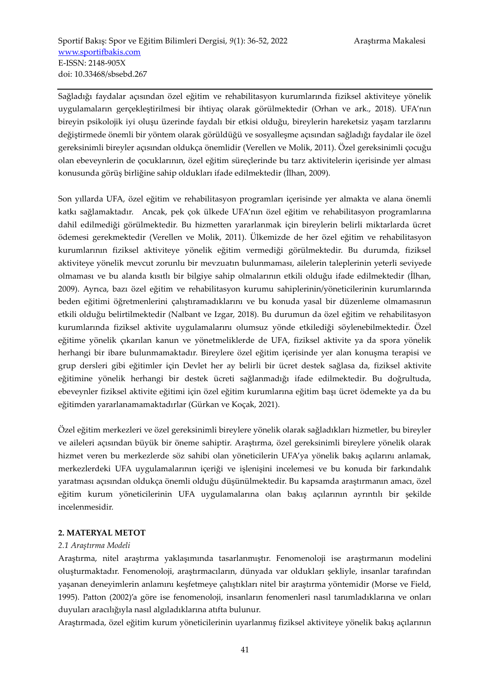Sağladığı faydalar açısından özel eğitim ve rehabilitasyon kurumlarında fiziksel aktiviteye yönelik uygulamaların gerçekleştirilmesi bir ihtiyaç olarak görülmektedir (Orhan ve ark., 2018). UFA'nın bireyin psikolojik iyi oluşu üzerinde faydalı bir etkisi olduğu, bireylerin hareketsiz yaşam tarzlarını değiştirmede önemli bir yöntem olarak görüldüğü ve sosyalleşme açısından sağladığı faydalar ile özel gereksinimli bireyler açısından oldukça önemlidir (Verellen ve Molik, 2011). Özel gereksinimli çocuğu olan ebeveynlerin de çocuklarının, özel eğitim süreçlerinde bu tarz aktivitelerin içerisinde yer alması konusunda görüş birliğine sahip oldukları ifade edilmektedir (İlhan, 2009).

Son yıllarda UFA, özel eğitim ve rehabilitasyon programları içerisinde yer almakta ve alana önemli katkı sağlamaktadır. Ancak, pek çok ülkede UFA'nın özel eğitim ve rehabilitasyon programlarına dahil edilmediği görülmektedir. Bu hizmetten yararlanmak için bireylerin belirli miktarlarda ücret ödemesi gerekmektedir (Verellen ve Molik, 2011). Ülkemizde de her özel eğitim ve rehabilitasyon kurumlarının fiziksel aktiviteye yönelik eğitim vermediği görülmektedir. Bu durumda, fiziksel aktiviteye yönelik mevcut zorunlu bir mevzuatın bulunmaması, ailelerin taleplerinin yeterli seviyede olmaması ve bu alanda kısıtlı bir bilgiye sahip olmalarının etkili olduğu ifade edilmektedir (İlhan, 2009). Ayrıca, bazı özel eğitim ve rehabilitasyon kurumu sahiplerinin/yöneticilerinin kurumlarında beden eğitimi öğretmenlerini çalıştıramadıklarını ve bu konuda yasal bir düzenleme olmamasının etkili olduğu belirtilmektedir (Nalbant ve Izgar, 2018). Bu durumun da özel eğitim ve rehabilitasyon kurumlarında fiziksel aktivite uygulamalarını olumsuz yönde etkilediği söylenebilmektedir. Özel eğitime yönelik çıkarılan kanun ve yönetmeliklerde de UFA, fiziksel aktivite ya da spora yönelik herhangi bir ibare bulunmamaktadır. Bireylere özel eğitim içerisinde yer alan konuşma terapisi ve grup dersleri gibi eğitimler için Devlet her ay belirli bir ücret destek sağlasa da, fiziksel aktivite eğitimine yönelik herhangi bir destek ücreti sağlanmadığı ifade edilmektedir. Bu doğrultuda, ebeveynler fiziksel aktivite eğitimi için özel eğitim kurumlarına eğitim başı ücret ödemekte ya da bu eğitimden yararlanamamaktadırlar (Gürkan ve Koçak, 2021).

Özel eğitim merkezleri ve özel gereksinimli bireylere yönelik olarak sağladıkları hizmetler, bu bireyler ve aileleri açısından büyük bir öneme sahiptir. Araştırma, özel gereksinimli bireylere yönelik olarak hizmet veren bu merkezlerde söz sahibi olan yöneticilerin UFA'ya yönelik bakış açılarını anlamak, merkezlerdeki UFA uygulamalarının içeriği ve işlenişini incelemesi ve bu konuda bir farkındalık yaratması açısından oldukça önemli olduğu düşünülmektedir. Bu kapsamda araştırmanın amacı, özel eğitim kurum yöneticilerinin UFA uygulamalarına olan bakış açılarının ayrıntılı bir şekilde incelenmesidir.

#### **2. MATERYAL METOT**

#### *2.1 Araştırma Modeli*

Araştırma, nitel araştırma yaklaşımında tasarlanmıştır. Fenomenoloji ise araştırmanın modelini oluşturmaktadır. Fenomenoloji, araştırmacıların, dünyada var oldukları şekliyle, insanlar tarafından yaşanan deneyimlerin anlamını keşfetmeye çalıştıkları nitel bir araştırma yöntemidir (Morse ve Field, 1995). Patton (2002)'a göre ise fenomenoloji, insanların fenomenleri nasıl tanımladıklarına ve onları duyuları aracılığıyla nasıl algıladıklarına atıfta bulunur.

Araştırmada, özel eğitim kurum yöneticilerinin uyarlanmış fiziksel aktiviteye yönelik bakış açılarının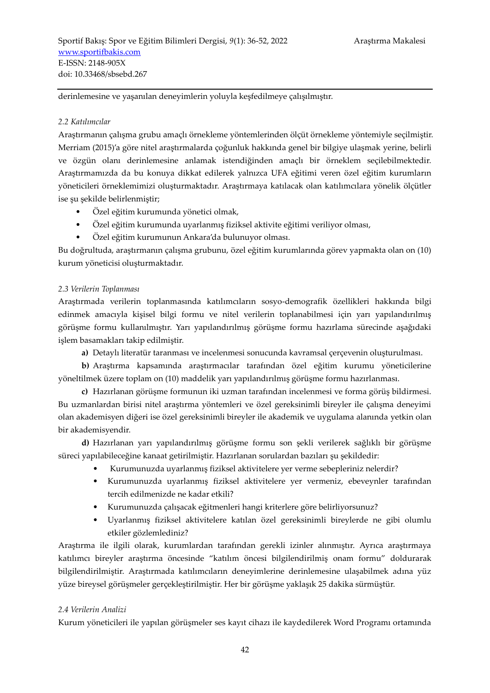derinlemesine ve yaşanılan deneyimlerin yoluyla keşfedilmeye çalışılmıştır.

#### *2.2 Katılımcılar*

Araştırmanın çalışma grubu amaçlı örnekleme yöntemlerinden ölçüt örnekleme yöntemiyle seçilmiştir. Merriam (2015)'a göre nitel araştırmalarda çoğunluk hakkında genel bir bilgiye ulaşmak yerine, belirli ve özgün olanı derinlemesine anlamak istendiğinden amaçlı bir örneklem seçilebilmektedir. Araştırmamızda da bu konuya dikkat edilerek yalnızca UFA eğitimi veren özel eğitim kurumların yöneticileri örneklemimizi oluşturmaktadır. Araştırmaya katılacak olan katılımcılara yönelik ölçütler ise şu şekilde belirlenmiştir;

- Özel eğitim kurumunda yönetici olmak,
- Özel eğitim kurumunda uyarlanmış fiziksel aktivite eğitimi veriliyor olması,
- Özel eğitim kurumunun Ankara'da bulunuyor olması.

Bu doğrultuda, araştırmanın çalışma grubunu, özel eğitim kurumlarında görev yapmakta olan on (10) kurum yöneticisi oluşturmaktadır.

#### *2.3 Verilerin Toplanması*

Araştırmada verilerin toplanmasında katılımcıların sosyo-demografik özellikleri hakkında bilgi edinmek amacıyla kişisel bilgi formu ve nitel verilerin toplanabilmesi için yarı yapılandırılmış görüşme formu kullanılmıştır. Yarı yapılandırılmış görüşme formu hazırlama sürecinde aşağıdaki işlem basamakları takip edilmiştir.

**a)** Detaylı literatür taranması ve incelenmesi sonucunda kavramsal çerçevenin oluşturulması.

**b)** Araştırma kapsamında araştırmacılar tarafından özel eğitim kurumu yöneticilerine yöneltilmek üzere toplam on (10) maddelik yarı yapılandırılmış görüşme formu hazırlanması.

**c)** Hazırlanan görüşme formunun iki uzman tarafından incelenmesi ve forma görüş bildirmesi. Bu uzmanlardan birisi nitel araştırma yöntemleri ve özel gereksinimli bireyler ile çalışma deneyimi olan akademisyen diğeri ise özel gereksinimli bireyler ile akademik ve uygulama alanında yetkin olan bir akademisyendir.

**d)** Hazırlanan yarı yapılandırılmış görüşme formu son şekli verilerek sağlıklı bir görüşme süreci yapılabileceğine kanaat getirilmiştir. Hazırlanan sorulardan bazıları şu şekildedir:

- Kurumunuzda uyarlanmış fiziksel aktivitelere yer verme sebepleriniz nelerdir?
- Kurumunuzda uyarlanmış fiziksel aktivitelere yer vermeniz, ebeveynler tarafından tercih edilmenizde ne kadar etkili?
- Kurumunuzda çalışacak eğitmenleri hangi kriterlere göre belirliyorsunuz?
- Uyarlanmış fiziksel aktivitelere katılan özel gereksinimli bireylerde ne gibi olumlu etkiler gözlemlediniz?

Araştırma ile ilgili olarak, kurumlardan tarafından gerekli izinler alınmıştır. Ayrıca araştırmaya katılımcı bireyler araştırma öncesinde "katılım öncesi bilgilendirilmiş onam formu" doldurarak bilgilendirilmiştir. Araştırmada katılımcıların deneyimlerine derinlemesine ulaşabilmek adına yüz yüze bireysel görüşmeler gerçekleştirilmiştir. Her bir görüşme yaklaşık 25 dakika sürmüştür.

#### *2.4 Verilerin Analizi*

Kurum yöneticileri ile yapılan görüşmeler ses kayıt cihazı ile kaydedilerek Word Programı ortamında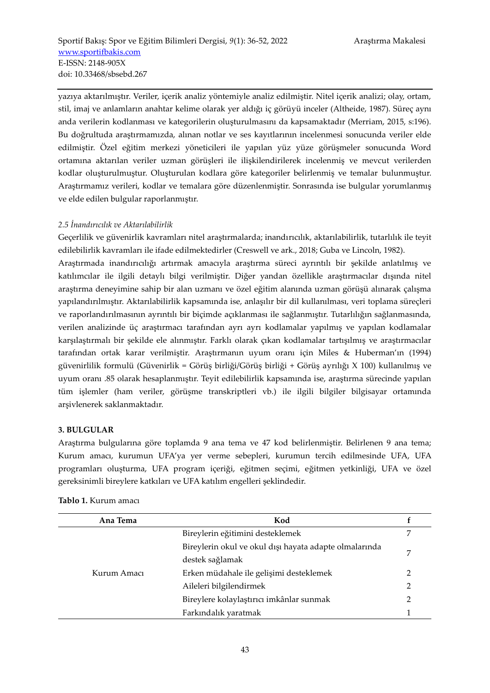yazıya aktarılmıştır. Veriler, içerik analiz yöntemiyle analiz edilmiştir. Nitel içerik analizi; olay, ortam, stil, imaj ve anlamların anahtar kelime olarak yer aldığı iç görüyü inceler (Altheide, 1987). Süreç aynı anda verilerin kodlanması ve kategorilerin oluşturulmasını da kapsamaktadır (Merriam, 2015, s:196). Bu doğrultuda araştırmamızda, alınan notlar ve ses kayıtlarının incelenmesi sonucunda veriler elde edilmiştir. Özel eğitim merkezi yöneticileri ile yapılan yüz yüze görüşmeler sonucunda Word ortamına aktarılan veriler uzman görüşleri ile ilişkilendirilerek incelenmiş ve mevcut verilerden kodlar oluşturulmuştur. Oluşturulan kodlara göre kategoriler belirlenmiş ve temalar bulunmuştur. Araştırmamız verileri, kodlar ve temalara göre düzenlenmiştir. Sonrasında ise bulgular yorumlanmış ve elde edilen bulgular raporlanmıştır.

#### *2.5 İnandırıcılık ve Aktarılabilirlik*

Geçerlilik ve güvenirlik kavramları nitel araştırmalarda; inandırıcılık, aktarılabilirlik, tutarlılık ile teyit edilebilirlik kavramları ile ifade edilmektedirler (Creswell ve ark., 2018; Guba ve Lincoln, 1982).

Araştırmada inandırıcılığı artırmak amacıyla araştırma süreci ayrıntılı bir şekilde anlatılmış ve katılımcılar ile ilgili detaylı bilgi verilmiştir. Diğer yandan özellikle araştırmacılar dışında nitel araştırma deneyimine sahip bir alan uzmanı ve özel eğitim alanında uzman görüşü alınarak çalışma yapılandırılmıştır. Aktarılabilirlik kapsamında ise, anlaşılır bir dil kullanılması, veri toplama süreçleri ve raporlandırılmasının ayrıntılı bir biçimde açıklanması ile sağlanmıştır. Tutarlılığın sağlanmasında, verilen analizinde üç araştırmacı tarafından ayrı ayrı kodlamalar yapılmış ve yapılan kodlamalar karşılaştırmalı bir şekilde ele alınmıştır. Farklı olarak çıkan kodlamalar tartışılmış ve araştırmacılar tarafından ortak karar verilmiştir. Araştırmanın uyum oranı için Miles & Huberman'ın (1994) güvenirlilik formulü (Güvenirlik = Görüş birliği/Görüş birliği + Görüş ayrılığı X 100) kullanılmış ve uyum oranı .85 olarak hesaplanmıştır. Teyit edilebilirlik kapsamında ise, araştırma sürecinde yapılan tüm işlemler (ham veriler, görüşme transkriptleri vb.) ile ilgili bilgiler bilgisayar ortamında arşivlenerek saklanmaktadır.

#### **3. BULGULAR**

Araştırma bulgularına göre toplamda 9 ana tema ve 47 kod belirlenmiştir. Belirlenen 9 ana tema; Kurum amacı, kurumun UFA'ya yer verme sebepleri, kurumun tercih edilmesinde UFA, UFA programları oluşturma, UFA program içeriği, eğitmen seçimi, eğitmen yetkinliği, UFA ve özel gereksinimli bireylere katkıları ve UFA katılım engelleri şeklindedir.

| Ana Tema    | Kod                                                    |   |  |
|-------------|--------------------------------------------------------|---|--|
|             | Bireylerin eğitimini desteklemek                       |   |  |
|             | Bireylerin okul ve okul dışı hayata adapte olmalarında | 7 |  |
| Kurum Amacı | destek sağlamak                                        |   |  |
|             | Erken müdahale ile gelişimi desteklemek                |   |  |
|             | Aileleri bilgilendirmek                                | 2 |  |
|             | Bireylere kolaylaştırıcı imkânlar sunmak               |   |  |
|             | Farkındalık yaratmak                                   |   |  |

#### **Tablo 1.** Kurum amacı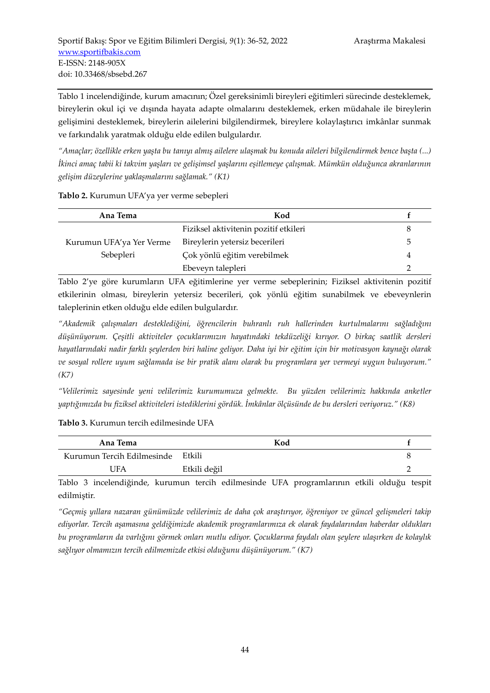Tablo 1 incelendiğinde, kurum amacının; Özel gereksinimli bireyleri eğitimleri sürecinde desteklemek, bireylerin okul içi ve dışında hayata adapte olmalarını desteklemek, erken müdahale ile bireylerin gelişimini desteklemek, bireylerin ailelerini bilgilendirmek, bireylere kolaylaştırıcı imkânlar sunmak ve farkındalık yaratmak olduğu elde edilen bulgulardır.

*"Amaçlar; özellikle erken yaşta bu tanıyı almış ailelere ulaşmak bu konuda aileleri bilgilendirmek bence başta (...) İkinci amaç tabii ki takvim yaşları ve gelişimsel yaşlarını eşitlemeye çalışmak. Mümkün olduğunca akranlarının gelişim düzeylerine yaklaşmalarını sağlamak." (K1)*

#### **Tablo 2.** Kurumun UFA'ya yer verme sebepleri

| Ana Tema                 | Kod                                   |   |
|--------------------------|---------------------------------------|---|
|                          | Fiziksel aktivitenin pozitif etkileri | 8 |
| Kurumun UFA'ya Yer Verme | Bireylerin yetersiz becerileri        | 5 |
| Sebepleri                | Çok yönlü eğitim verebilmek           | 4 |
|                          | Ebeveyn talepleri                     | ∍ |

Tablo 2'ye göre kurumların UFA eğitimlerine yer verme sebeplerinin; Fiziksel aktivitenin pozitif etkilerinin olması, bireylerin yetersiz becerileri, çok yönlü eğitim sunabilmek ve ebeveynlerin taleplerinin etken olduğu elde edilen bulgulardır.

*"Akademik çalışmaları desteklediğini, öğrencilerin buhranlı ruh hallerinden kurtulmalarını sağladığını düşünüyorum. Çeşitli aktiviteler çocuklarımızın hayatındaki tekdüzeliği kırıyor. O birkaç saatlik dersleri hayatlarındaki nadir farklı şeylerden biri haline geliyor. Daha iyi bir eğitim için bir motivasyon kaynağı olarak ve sosyal rollere uyum sağlamada ise bir pratik alanı olarak bu programlara yer vermeyi uygun buluyorum." (K7)* 

*"Velilerimiz sayesinde yeni velilerimiz kurumumuza gelmekte. Bu yüzden velilerimiz hakkında anketler yaptığımızda bu fiziksel aktiviteleri istediklerini gördük. İmkânlar ölçüsünde de bu dersleri veriyoruz." (K8)*

#### **Tablo 3.** Kurumun tercih edilmesinde UFA

| Ana Tema                          | Kod          |  |
|-----------------------------------|--------------|--|
| Kurumun Tercih Edilmesinde Etkili |              |  |
| 'JFA                              | Etkili değil |  |

Tablo 3 incelendiğinde, kurumun tercih edilmesinde UFA programlarının etkili olduğu tespit edilmiştir.

*"Geçmiş yıllara nazaran günümüzde velilerimiz de daha çok araştırıyor, öğreniyor ve güncel gelişmeleri takip ediyorlar. Tercih aşamasına geldiğimizde akademik programlarımıza ek olarak faydalarından haberdar oldukları bu programların da varlığını görmek onları mutlu ediyor. Çocuklarına faydalı olan şeylere ulaşırken de kolaylık sağlıyor olmamızın tercih edilmemizde etkisi olduğunu düşünüyorum." (K7)*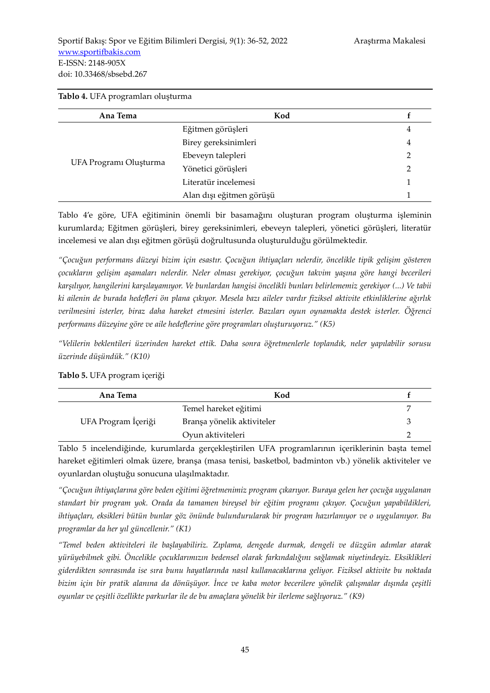| Ana Tema               | Kod                      |   |
|------------------------|--------------------------|---|
| UFA Programı Oluşturma | Eğitmen görüşleri        | 4 |
|                        | Birey gereksinimleri     | 4 |
|                        | Ebeveyn talepleri        | 2 |
|                        | Yönetici görüşleri       | 2 |
|                        | Literatür incelemesi     |   |
|                        | Alan dışı eğitmen görüşü |   |

#### **Tablo 4.** UFA programları oluşturma

Tablo 4'e göre, UFA eğitiminin önemli bir basamağını oluşturan program oluşturma işleminin kurumlarda; Eğitmen görüşleri, birey gereksinimleri, ebeveyn talepleri, yönetici görüşleri, literatür incelemesi ve alan dışı eğitmen görüşü doğrultusunda oluşturulduğu görülmektedir.

*"Çocuğun performans düzeyi bizim için esastır. Çocuğun ihtiyaçları nelerdir, öncelikle tipik gelişim gösteren çocukların gelişim aşamaları nelerdir. Neler olması gerekiyor, çocuğun takvim yaşına göre hangi becerileri karşılıyor, hangilerini karşılayamıyor. Ve bunlardan hangisi öncelikli bunları belirlememiz gerekiyor (...) Ve tabii ki ailenin de burada hedefleri ön plana çıkıyor. Mesela bazı aileler vardır fiziksel aktivite etkinliklerine ağırlık verilmesini isterler, biraz daha hareket etmesini isterler. Bazıları oyun oynamakta destek isterler. Öğrenci performans düzeyine göre ve aile hedeflerine göre programları oluşturuyoruz." (K5)* 

*"Velilerin beklentileri üzerinden hareket ettik. Daha sonra öğretmenlerle toplandık, neler yapılabilir sorusu üzerinde düşündük." (K10)*

| Ana Tema            | Kod                        |  |
|---------------------|----------------------------|--|
|                     | Temel hareket eğitimi      |  |
| UFA Program İçeriği | Branşa yönelik aktiviteler |  |
|                     | Oyun aktiviteleri          |  |

**Tablo 5.** UFA program içeriği

Tablo 5 incelendiğinde, kurumlarda gerçekleştirilen UFA programlarının içeriklerinin başta temel hareket eğitimleri olmak üzere, branşa (masa tenisi, basketbol, badminton vb.) yönelik aktiviteler ve oyunlardan oluştuğu sonucuna ulaşılmaktadır.

*"Çocuğun ihtiyaçlarına göre beden eğitimi öğretmenimiz program çıkarıyor. Buraya gelen her çocuğa uygulanan standart bir program yok. Orada da tamamen bireysel bir eğitim programı çıkıyor. Çocuğun yapabildikleri, ihtiyaçları, eksikleri bütün bunlar göz önünde bulundurularak bir program hazırlanıyor ve o uygulanıyor. Bu programlar da her yıl güncellenir." (K1)*

*"Temel beden aktiviteleri ile başlayabiliriz. Zıplama, dengede durmak, dengeli ve düzgün adımlar atarak yürüyebilmek gibi. Öncelikle çocuklarımızın bedensel olarak farkındalığını sağlamak niyetindeyiz. Eksiklikleri giderdikten sonrasında ise sıra bunu hayatlarında nasıl kullanacaklarına geliyor. Fiziksel aktivite bu noktada bizim için bir pratik alanına da dönüşüyor. İnce ve kaba motor becerilere yönelik çalışmalar dışında çeşitli oyunlar ve çeşitli özellikte parkurlar ile de bu amaçlara yönelik bir ilerleme sağlıyoruz." (K9)*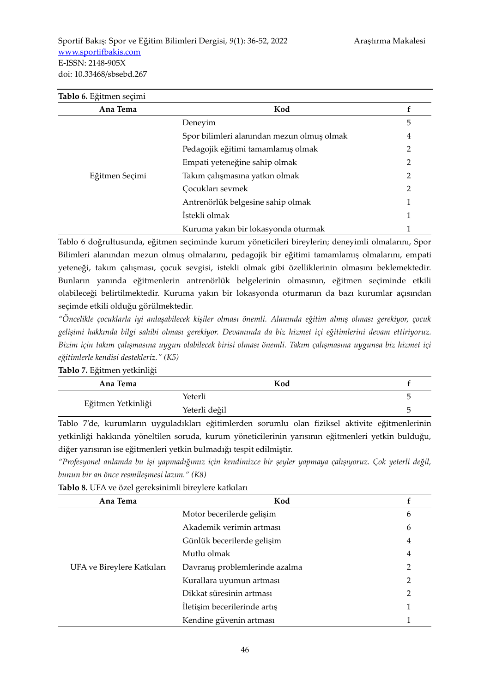| Tablo 6. Eğitmen seçimi |                                            |                |
|-------------------------|--------------------------------------------|----------------|
| Ana Tema                | Kod                                        |                |
|                         | Deneyim                                    | 5              |
|                         | Spor bilimleri alanından mezun olmuş olmak | 4              |
|                         | Pedagojik eğitimi tamamlamış olmak         | 2              |
|                         | Empati yeteneğine sahip olmak              | 2              |
| Eğitmen Seçimi          | Takım çalışmasına yatkın olmak             | $\overline{2}$ |
|                         | Cocukları sevmek                           | 2              |
|                         | Antrenörlük belgesine sahip olmak          |                |
|                         | İstekli olmak                              |                |
|                         | Kuruma yakın bir lokasyonda oturmak        |                |

Tablo 6 doğrultusunda, eğitmen seçiminde kurum yöneticileri bireylerin; deneyimli olmalarını, Spor Bilimleri alanından mezun olmuş olmalarını, pedagojik bir eğitimi tamamlamış olmalarını, empati yeteneği, takım çalışması, çocuk sevgisi, istekli olmak gibi özelliklerinin olmasını beklemektedir. Bunların yanında eğitmenlerin antrenörlük belgelerinin olmasının, eğitmen seçiminde etkili olabileceği belirtilmektedir. Kuruma yakın bir lokasyonda oturmanın da bazı kurumlar açısından seçimde etkili olduğu görülmektedir.

*"Öncelikle çocuklarla iyi anlaşabilecek kişiler olması önemli. Alanında eğitim almış olması gerekiyor, çocuk gelişimi hakkında bilgi sahibi olması gerekiyor. Devamında da biz hizmet içi eğitimlerini devam ettiriyoruz. Bizim için takım çalışmasına uygun olabilecek birisi olması önemli. Takım çalışmasına uygunsa biz hizmet içi eğitimlerle kendisi destekleriz." (K5)*

| Tablo 7. Eğitmen yetkinliği |  |
|-----------------------------|--|
|-----------------------------|--|

| Ana Tema           | Kod           |  |
|--------------------|---------------|--|
|                    | Yeterli       |  |
| Eğitmen Yetkinliği | Yeterli değil |  |

Tablo 7'de, kurumların uyguladıkları eğitimlerden sorumlu olan fiziksel aktivite eğitmenlerinin yetkinliği hakkında yöneltilen soruda, kurum yöneticilerinin yarısının eğitmenleri yetkin bulduğu, diğer yarısının ise eğitmenleri yetkin bulmadığı tespit edilmiştir.

*"Profesyonel anlamda bu işi yapmadığımız için kendimizce bir şeyler yapmaya çalışıyoruz. Çok yeterli değil, bunun bir an önce resmileşmesi lazım." (K8)* 

| Tablo 8. UFA ve özel gereksinimli bireylere katkıları |  |  |
|-------------------------------------------------------|--|--|
|-------------------------------------------------------|--|--|

| Ana Tema                   | Kod                            |                |
|----------------------------|--------------------------------|----------------|
| UFA ve Bireylere Katkıları | Motor becerilerde gelişim      | 6              |
|                            | Akademik verimin artması       | 6              |
|                            | Günlük becerilerde gelişim     | 4              |
|                            | Mutlu olmak                    | 4              |
|                            | Davranış problemlerinde azalma | 2              |
|                            | Kurallara uyumun artması       | $\overline{2}$ |
|                            | Dikkat süresinin artması       | 2              |
|                            | Iletişim becerilerinde artış   |                |
|                            | Kendine güvenin artması        |                |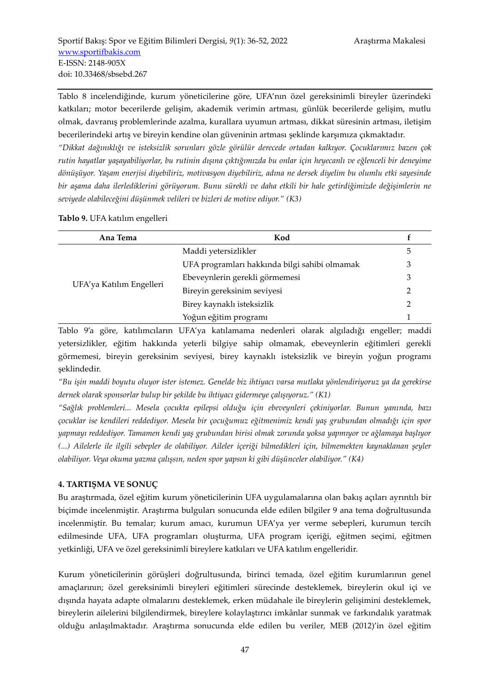Tablo 8 incelendiğinde, kurum yöneticilerine göre, UFA'nın özel gereksinimli bireyler üzerindeki katkıları; motor becerilerde gelişim, akademik verimin artması, günlük becerilerde gelişim, mutlu olmak, davranış problemlerinde azalma, kurallara uyumun artması, dikkat süresinin artması, iletişim becerilerindeki artış ve bireyin kendine olan güveninin artması şeklinde karşımıza çıkmaktadır.

*"Dikkat dağınıklığı ve isteksizlik sorunları gözle görülür derecede ortadan kalkıyor. Çocuklarımız bazen çok rutin hayatlar yaşayabiliyorlar, bu rutinin dışına çıktığımızda bu onlar için heyecanlı ve eğlenceli bir deneyime dönüşüyor. Yaşam enerjisi diyebiliriz, motivasyon diyebiliriz, adına ne dersek diyelim bu olumlu etki sayesinde bir aşama daha ilerlediklerini görüyorum. Bunu sürekli ve daha etkili bir hale getirdiğimizde değişimlerin ne seviyede olabileceğini düşünmek velileri ve bizleri de motive ediyor." (K3)*

**Tablo 9.** UFA katılım engelleri

| Ana Tema                 | Kod                                           |   |
|--------------------------|-----------------------------------------------|---|
| UFA'ya Katılım Engelleri | Maddi yetersizlikler                          | ს |
|                          | UFA programları hakkında bilgi sahibi olmamak | 3 |
|                          | Ebeveynlerin gerekli görmemesi                | 3 |
|                          | Bireyin gereksinim seviyesi                   |   |
|                          | Birey kaynaklı isteksizlik                    |   |
|                          | Yoğun eğitim programı                         |   |

Tablo 9'a göre, katılımcıların UFA'ya katılamama nedenleri olarak algıladığı engeller; maddi yetersizlikler, eğitim hakkında yeterli bilgiye sahip olmamak, ebeveynlerin eğitimleri gerekli görmemesi, bireyin gereksinim seviyesi, birey kaynaklı isteksizlik ve bireyin yoğun programı şeklindedir.

*"Bu işin maddi boyutu oluyor ister istemez. Genelde biz ihtiyacı varsa mutlaka yönlendiriyoruz ya da gerekirse dernek olarak sponsorlar bulup bir şekilde bu ihtiyacı gidermeye çalışıyoruz." (K1)* 

*"Sağlık problemleri... Mesela çocukta epilepsi olduğu için ebeveynleri çekiniyorlar. Bunun yanında, bazı çocuklar ise kendileri reddediyor. Mesela bir çocuğumuz eğitmenimiz kendi yaş grubundan olmadığı için spor yapmayı reddediyor. Tamamen kendi yaş grubundan birisi olmak zorunda yoksa yapmıyor ve ağlamaya başlıyor (...) Ailelerle ile ilgili sebepler de olabiliyor. Aileler içeriği bilmedikleri için, bilmemekten kaynaklanan şeyler olabiliyor. Veya okuma yazma çalışsın, neden spor yapsın ki gibi düşünceler olabiliyor." (K4)*

#### **4. TARTIŞMA VE SONUÇ**

Bu araştırmada, özel eğitim kurum yöneticilerinin UFA uygulamalarına olan bakış açıları ayrıntılı bir biçimde incelenmiştir. Araştırma bulguları sonucunda elde edilen bilgiler 9 ana tema doğrultusunda incelenmiştir. Bu temalar; kurum amacı, kurumun UFA'ya yer verme sebepleri, kurumun tercih edilmesinde UFA, UFA programları oluşturma, UFA program içeriği, eğitmen seçimi, eğitmen yetkinliği, UFA ve özel gereksinimli bireylere katkıları ve UFA katılım engelleridir.

Kurum yöneticilerinin görüşleri doğrultusunda, birinci temada, özel eğitim kurumlarının genel amaçlarının; özel gereksinimli bireyleri eğitimleri sürecinde desteklemek, bireylerin okul içi ve dışında hayata adapte olmalarını desteklemek, erken müdahale ile bireylerin gelişimini desteklemek, bireylerin ailelerini bilgilendirmek, bireylere kolaylaştırıcı imkânlar sunmak ve farkındalık yaratmak olduğu anlaşılmaktadır. Araştırma sonucunda elde edilen bu veriler, MEB (2012)'in özel eğitim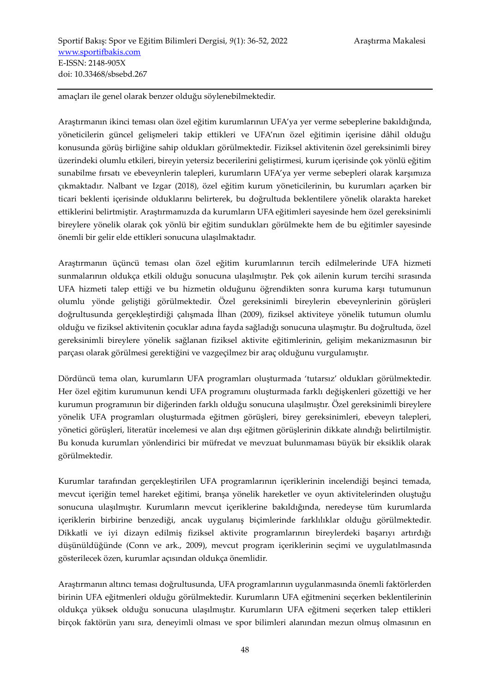amaçları ile genel olarak benzer olduğu söylenebilmektedir.

Araştırmanın ikinci teması olan özel eğitim kurumlarının UFA'ya yer verme sebeplerine bakıldığında, yöneticilerin güncel gelişmeleri takip ettikleri ve UFA'nın özel eğitimin içerisine dâhil olduğu konusunda görüş birliğine sahip oldukları görülmektedir. Fiziksel aktivitenin özel gereksinimli birey üzerindeki olumlu etkileri, bireyin yetersiz becerilerini geliştirmesi, kurum içerisinde çok yönlü eğitim sunabilme fırsatı ve ebeveynlerin talepleri, kurumların UFA'ya yer verme sebepleri olarak karşımıza çıkmaktadır. Nalbant ve Izgar (2018), özel eğitim kurum yöneticilerinin, bu kurumları açarken bir ticari beklenti içerisinde olduklarını belirterek, bu doğrultuda beklentilere yönelik olarakta hareket ettiklerini belirtmiştir. Araştırmamızda da kurumların UFA eğitimleri sayesinde hem özel gereksinimli bireylere yönelik olarak çok yönlü bir eğitim sundukları görülmekte hem de bu eğitimler sayesinde önemli bir gelir elde ettikleri sonucuna ulaşılmaktadır.

Araştırmanın üçüncü teması olan özel eğitim kurumlarının tercih edilmelerinde UFA hizmeti sunmalarının oldukça etkili olduğu sonucuna ulaşılmıştır. Pek çok ailenin kurum tercihi sırasında UFA hizmeti talep ettiği ve bu hizmetin olduğunu öğrendikten sonra kuruma karşı tutumunun olumlu yönde geliştiği görülmektedir. Özel gereksinimli bireylerin ebeveynlerinin görüşleri doğrultusunda gerçekleştirdiği çalışmada İlhan (2009), fiziksel aktiviteye yönelik tutumun olumlu olduğu ve fiziksel aktivitenin çocuklar adına fayda sağladığı sonucuna ulaşmıştır. Bu doğrultuda, özel gereksinimli bireylere yönelik sağlanan fiziksel aktivite eğitimlerinin, gelişim mekanizmasının bir parçası olarak görülmesi gerektiğini ve vazgeçilmez bir araç olduğunu vurgulamıştır.

Dördüncü tema olan, kurumların UFA programları oluşturmada 'tutarsız' oldukları görülmektedir. Her özel eğitim kurumunun kendi UFA programını oluşturmada farklı değişkenleri gözettiği ve her kurumun programının bir diğerinden farklı olduğu sonucuna ulaşılmıştır. Özel gereksinimli bireylere yönelik UFA programları oluşturmada eğitmen görüşleri, birey gereksinimleri, ebeveyn talepleri, yönetici görüşleri, literatür incelemesi ve alan dışı eğitmen görüşlerinin dikkate alındığı belirtilmiştir. Bu konuda kurumları yönlendirici bir müfredat ve mevzuat bulunmaması büyük bir eksiklik olarak görülmektedir.

Kurumlar tarafından gerçekleştirilen UFA programlarının içeriklerinin incelendiği beşinci temada, mevcut içeriğin temel hareket eğitimi, branşa yönelik hareketler ve oyun aktivitelerinden oluştuğu sonucuna ulaşılmıştır. Kurumların mevcut içeriklerine bakıldığında, neredeyse tüm kurumlarda içeriklerin birbirine benzediği, ancak uygulanış biçimlerinde farklılıklar olduğu görülmektedir. Dikkatli ve iyi dizayn edilmiş fiziksel aktivite programlarının bireylerdeki başarıyı artırdığı düşünüldüğünde (Conn ve ark., 2009), mevcut program içeriklerinin seçimi ve uygulatılmasında gösterilecek özen, kurumlar açısından oldukça önemlidir.

Araştırmanın altıncı teması doğrultusunda, UFA programlarının uygulanmasında önemli faktörlerden birinin UFA eğitmenleri olduğu görülmektedir. Kurumların UFA eğitmenini seçerken beklentilerinin oldukça yüksek olduğu sonucuna ulaşılmıştır. Kurumların UFA eğitmeni seçerken talep ettikleri birçok faktörün yanı sıra, deneyimli olması ve spor bilimleri alanından mezun olmuş olmasının en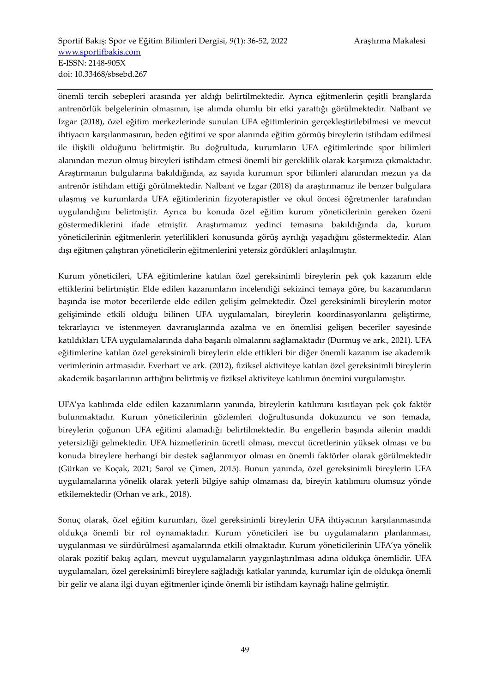önemli tercih sebepleri arasında yer aldığı belirtilmektedir. Ayrıca eğitmenlerin çeşitli branşlarda antrenörlük belgelerinin olmasının, işe alımda olumlu bir etki yarattığı görülmektedir. Nalbant ve Izgar (2018), özel eğitim merkezlerinde sunulan UFA eğitimlerinin gerçekleştirilebilmesi ve mevcut ihtiyacın karşılanmasının, beden eğitimi ve spor alanında eğitim görmüş bireylerin istihdam edilmesi ile ilişkili olduğunu belirtmiştir. Bu doğrultuda, kurumların UFA eğitimlerinde spor bilimleri alanından mezun olmuş bireyleri istihdam etmesi önemli bir gereklilik olarak karşımıza çıkmaktadır. Araştırmanın bulgularına bakıldığında, az sayıda kurumun spor bilimleri alanından mezun ya da antrenör istihdam ettiği görülmektedir. Nalbant ve Izgar (2018) da araştırmamız ile benzer bulgulara ulaşmış ve kurumlarda UFA eğitimlerinin fizyoterapistler ve okul öncesi öğretmenler tarafından uygulandığını belirtmiştir. Ayrıca bu konuda özel eğitim kurum yöneticilerinin gereken özeni göstermediklerini ifade etmiştir. Araştırmamız yedinci temasına bakıldığında da, kurum yöneticilerinin eğitmenlerin yeterlilikleri konusunda görüş ayrılığı yaşadığını göstermektedir. Alan dışı eğitmen çalıştıran yöneticilerin eğitmenlerini yetersiz gördükleri anlaşılmıştır.

Kurum yöneticileri, UFA eğitimlerine katılan özel gereksinimli bireylerin pek çok kazanım elde ettiklerini belirtmiştir. Elde edilen kazanımların incelendiği sekizinci temaya göre, bu kazanımların başında ise motor becerilerde elde edilen gelişim gelmektedir. Özel gereksinimli bireylerin motor gelişiminde etkili olduğu bilinen UFA uygulamaları, bireylerin koordinasyonlarını geliştirme, tekrarlayıcı ve istenmeyen davranışlarında azalma ve en önemlisi gelişen beceriler sayesinde katıldıkları UFA uygulamalarında daha başarılı olmalarını sağlamaktadır (Durmuş ve ark., 2021). UFA eğitimlerine katılan özel gereksinimli bireylerin elde ettikleri bir diğer önemli kazanım ise akademik verimlerinin artmasıdır. Everhart ve ark. (2012), fiziksel aktiviteye katılan özel gereksinimli bireylerin akademik başarılarının arttığını belirtmiş ve fiziksel aktiviteye katılımın önemini vurgulamıştır.

UFA'ya katılımda elde edilen kazanımların yanında, bireylerin katılımını kısıtlayan pek çok faktör bulunmaktadır. Kurum yöneticilerinin gözlemleri doğrultusunda dokuzuncu ve son temada, bireylerin çoğunun UFA eğitimi alamadığı belirtilmektedir. Bu engellerin başında ailenin maddi yetersizliği gelmektedir. UFA hizmetlerinin ücretli olması, mevcut ücretlerinin yüksek olması ve bu konuda bireylere herhangi bir destek sağlanmıyor olması en önemli faktörler olarak görülmektedir (Gürkan ve Koçak, 2021; Sarol ve Çimen, 2015). Bunun yanında, özel gereksinimli bireylerin UFA uygulamalarına yönelik olarak yeterli bilgiye sahip olmaması da, bireyin katılımını olumsuz yönde etkilemektedir (Orhan ve ark., 2018).

Sonuç olarak, özel eğitim kurumları, özel gereksinimli bireylerin UFA ihtiyacının karşılanmasında oldukça önemli bir rol oynamaktadır. Kurum yöneticileri ise bu uygulamaların planlanması, uygulanması ve sürdürülmesi aşamalarında etkili olmaktadır. Kurum yöneticilerinin UFA'ya yönelik olarak pozitif bakış açıları, mevcut uygulamaların yaygınlaştırılması adına oldukça önemlidir. UFA uygulamaları, özel gereksinimli bireylere sağladığı katkılar yanında, kurumlar için de oldukça önemli bir gelir ve alana ilgi duyan eğitmenler içinde önemli bir istihdam kaynağı haline gelmiştir.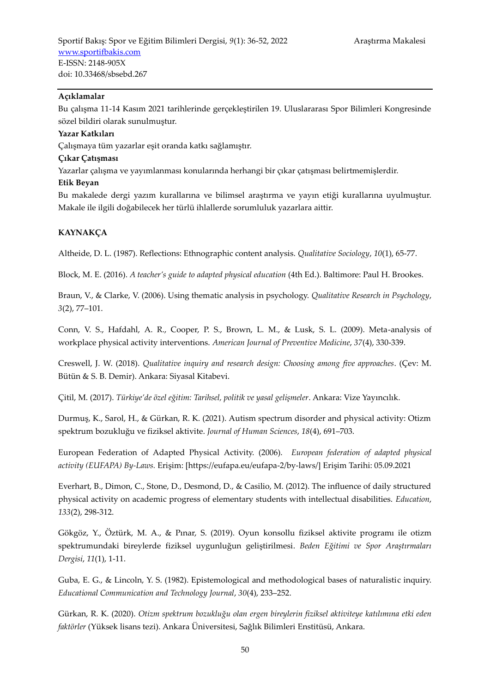#### **Açıklamalar**

Bu çalışma 11-14 Kasım 2021 tarihlerinde gerçekleştirilen 19. Uluslararası Spor Bilimleri Kongresinde sözel bildiri olarak sunulmuştur.

#### **Yazar Katkıları**

Çalışmaya tüm yazarlar eşit oranda katkı sağlamıştır.

#### **Çıkar Çatışması**

Yazarlar çalışma ve yayımlanması konularında herhangi bir çıkar çatışması belirtmemişlerdir.

#### **Etik Beyan**

Bu makalede dergi yazım kurallarına ve bilimsel araştırma ve yayın etiği kurallarına uyulmuştur. Makale ile ilgili doğabilecek her türlü ihlallerde sorumluluk yazarlara aittir.

#### **KAYNAKÇA**

Altheide, D. L. (1987). Reflections: Ethnographic content analysis. *Qualitative Sociology*, *10*(1), 65-77.

Block, M. E. (2016). *A teacher's guide to adapted physical education* (4th Ed.). Baltimore: Paul H. Brookes.

Braun, V., & Clarke, V. (2006). Using thematic analysis in psychology. *Qualitative Research in Psychology*, *3*(2), 77–101.

Conn, V. S., Hafdahl, A. R., Cooper, P. S., Brown, L. M., & Lusk, S. L. (2009). Meta-analysis of workplace physical activity interventions. *American Journal of Preventive Medicine*, *37*(4), 330-339.

Creswell, J. W. (2018). *Qualitative inquiry and research design: Choosing among five approaches*. (Çev: M. Bütün & S. B. Demir). Ankara: Siyasal Kitabevi.

Çitil, M. (2017). *Türkiye'de özel eğitim: Tarihsel, politik ve yasal gelişmeler*. Ankara: Vize Yayıncılık.

Durmuş, K., Sarol, H., & Gürkan, R. K. (2021). Autism spectrum disorder and physical activity: Otizm spektrum bozukluğu ve fiziksel aktivite. *Journal of Human Sciences*, *18*(4), 691–703.

European Federation of Adapted Physical Activity. (2006). *European federation of adapted physical activity (EUFAPA) By-Laws.* Erişim: [https://eufapa.eu/eufapa-2/by-laws/] Erişim Tarihi: 05.09.2021

Everhart, B., Dimon, C., Stone, D., Desmond, D., & Casilio, M. (2012). The influence of daily structured physical activity on academic progress of elementary students with intellectual disabilities. *Education*, *133*(2), 298-312.

Gökgöz, Y., Öztürk, M. A., & Pınar, S. (2019). Oyun konsollu fiziksel aktivite programı ile otizm spektrumundaki bireylerde fiziksel uygunluğun geliştirilmesi. *Beden Eğitimi ve Spor Araştırmaları Dergisi*, *11*(1), 1-11.

Guba, E. G., & Lincoln, Y. S. (1982). Epistemological and methodological bases of naturalistic inquiry. *Educational Communication and Technology Journal*, *30*(4), 233–252.

Gürkan, R. K. (2020). *Otizm spektrum bozukluğu olan ergen bireylerin fiziksel aktiviteye katılımına etki eden faktörler* (Yüksek lisans tezi). Ankara Üniversitesi, Sağlık Bilimleri Enstitüsü, Ankara.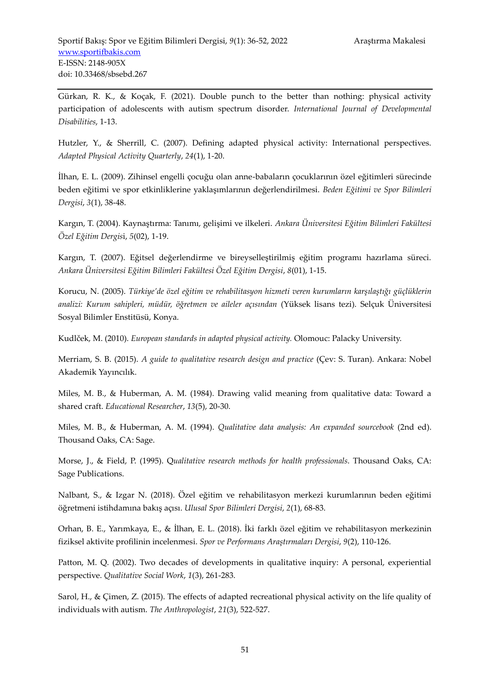Gürkan, R. K., & Koçak, F. (2021). Double punch to the better than nothing: physical activity participation of adolescents with autism spectrum disorder. *International Journal of Developmental Disabilities*, 1-13.

Hutzler, Y., & Sherrill, C. (2007). Defining adapted physical activity: International perspectives. *Adapted Physical Activity Quarterly*, *24*(1), 1-20.

İlhan, E. L. (2009). Zihinsel engelli çocuğu olan anne-babaların çocuklarının özel eğitimleri sürecinde beden eğitimi ve spor etkinliklerine yaklaşımlarının değerlendirilmesi. *Beden Eğitimi ve Spor Bilimleri Dergisi*, *3*(1), 38-48.

Kargın, T. (2004). Kaynaştırma: Tanımı, gelişimi ve ilkeleri. *Ankara Üniversitesi Eğitim Bilimleri Fakültesi Özel Eğitim Dergis*i, *5*(02), 1-19.

Kargın, T. (2007). Eğitsel değerlendirme ve bireyselleştirilmiş eğitim programı hazırlama süreci. *Ankara Üniversitesi Eğitim Bilimleri Fakültesi Özel Eğitim Dergisi*, *8*(01), 1-15.

Korucu, N. (2005). *Türkiye'de özel eğitim ve rehabilitasyon hizmeti veren kurumların karşılaştığı güçlüklerin analizi: Kurum sahipleri, müdür, öğretmen ve aileler açısından* (Yüksek lisans tezi). Selçuk Üniversitesi Sosyal Bilimler Enstitüsü, Konya.

Kudlček, M. (2010). *European standards in adapted physical activity.* Olomouc: Palacky University.

Merriam, S. B. (2015). *A guide to qualitative research design and practice* (Çev: S. Turan). Ankara: Nobel Akademik Yayıncılık.

Miles, M. B., & Huberman, A. M. (1984). Drawing valid meaning from qualitative data: Toward a shared craft. *Educational Researcher*, *13*(5), 20-30.

Miles, M. B., & Huberman, A. M. (1994). *Qualitative data analysis: An expanded sourcebook* (2nd ed). Thousand Oaks, CA: Sage.

Morse, J., & Field, P. (1995). Q*ualitative research methods for health professionals*. Thousand Oaks, CA: Sage Publications.

Nalbant, S., & Izgar N. (2018). Özel eğitim ve rehabilitasyon merkezi kurumlarının beden eğitimi öğretmeni istihdamına bakış açısı. *Ulusal Spor Bilimleri Dergisi*, *2*(1), 68-83.

Orhan, B. E., Yarımkaya, E., & İlhan, E. L. (2018). İki farklı özel eğitim ve rehabilitasyon merkezinin fiziksel aktivite profilinin incelenmesi. *Spor ve Performans Araştırmaları Dergisi*, *9*(2), 110-126.

Patton, M. Q. (2002). Two decades of developments in qualitative inquiry: A personal, experiential perspective. *Qualitative Social Work*, *1*(3), 261-283.

Sarol, H., & Çimen, Z. (2015). The effects of adapted recreational physical activity on the life quality of individuals with autism. *The Anthropologist*, *21*(3), 522-527.